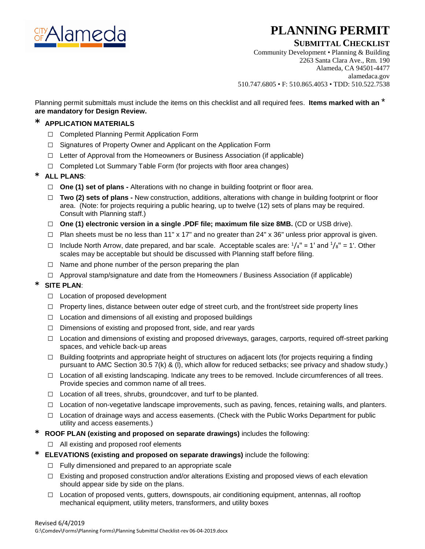

# **PLANNING PERMIT**

## **SUBMITTAL CHECKLIST**

Community Development • Planning & Building 2263 Santa Clara Ave., Rm. 190 Alameda, CA 94501-4477 alamedaca.gov 510.747.6805 • F: 510.865.4053 • TDD: 510.522.7538

Planning permit submittals must include the items on this checklist and all required fees. **Items marked with an** \* **are mandatory for Design Review.**

## \* **APPLICATION MATERIALS**

- **□** Completed Planning Permit Application Form
- **□** Signatures of Property Owner and Applicant on the Application Form
- **□** Letter of Approval from the Homeowners or Business Association (if applicable)
- **□** Completed Lot Summary Table Form (for projects with floor area changes)

## \* **ALL PLANS**:

- **□ One (1) set of plans -** Alterations with no change in building footprint or floor area.
- **□ Two (2) sets of plans -** New construction, additions, alterations with change in building footprint or floor area. (Note: for projects requiring a public hearing, up to twelve (12) sets of plans may be required. Consult with Planning staff.)
- **□ One (1) electronic version in a single .PDF file; maximum file size 8MB.** (CD or USB drive).
- **□** Plan sheets must be no less than 11" x 17" and no greater than 24" x 36" unless prior approval is given.
- **□** Include North Arrow, date prepared, and bar scale. Acceptable scales are: 1/4" = 1' and 1 /8" = 1'. Other scales may be acceptable but should be discussed with Planning staff before filing.
- **□** Name and phone number of the person preparing the plan
- **□** Approval stamp/signature and date from the Homeowners / Business Association (if applicable)

## SITE PLAN:

- **□** Location of proposed development
- □ Property lines, distance between outer edge of street curb, and the front/street side property lines
- **□** Location and dimensions of all existing and proposed buildings
- **□** Dimensions of existing and proposed front, side, and rear yards
- **□** Location and dimensions of existing and proposed driveways, garages, carports, required off-street parking spaces, and vehicle back-up areas
- **□** Building footprints and appropriate height of structures on adjacent lots (for projects requiring a finding pursuant to AMC Section 30.5 7(k) & (l), which allow for reduced setbacks; see privacy and shadow study.)
- **□** Location of all existing landscaping. Indicate any trees to be removed. Include circumferences of all trees. Provide species and common name of all trees.
- **□** Location of all trees, shrubs, groundcover, and turf to be planted.
- **□** Location of non-vegetative landscape improvements, such as paving, fences, retaining walls, and planters.
- **□** Location of drainage ways and access easements. (Check with the Public Works Department for public utility and access easements.)
- \* **ROOF PLAN (existing and proposed on separate drawings)** includes the following:
	- **□** All existing and proposed roof elements
- \* **ELEVATIONS (existing and proposed on separate drawings)** include the following:
	- **□** Fully dimensioned and prepared to an appropriate scale
	- **□** Existing and proposed construction and/or alterations Existing and proposed views of each elevation should appear side by side on the plans.
	- **□** Location of proposed vents, gutters, downspouts, air conditioning equipment, antennas, all rooftop mechanical equipment, utility meters, transformers, and utility boxes